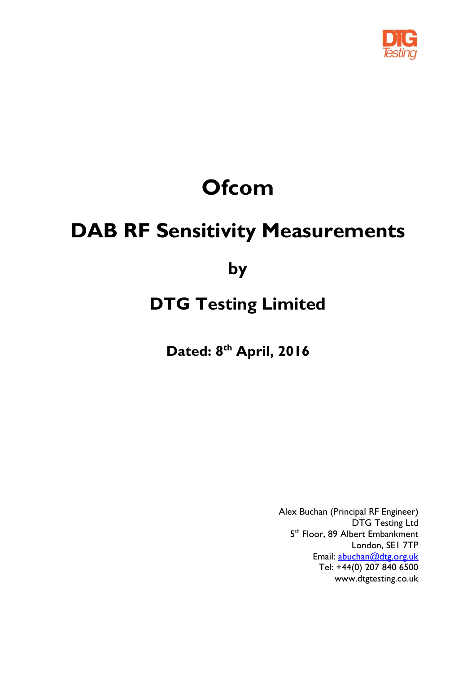

# **Ofcom**

## **DAB RF Sensitivity Measurements**

## **by**

## **DTG Testing Limited**

**Dated: 8 th April, 2016**

Alex Buchan (Principal RF Engineer) DTG Testing Ltd 5<sup>th</sup> Floor, 89 Albert Embankment London, SE1 7TP Email: [abuchan@dtg.org.uk](mailto:abuchan@dtg.org.uk) Tel: +44(0) 207 840 6500 www.dtgtesting.co.uk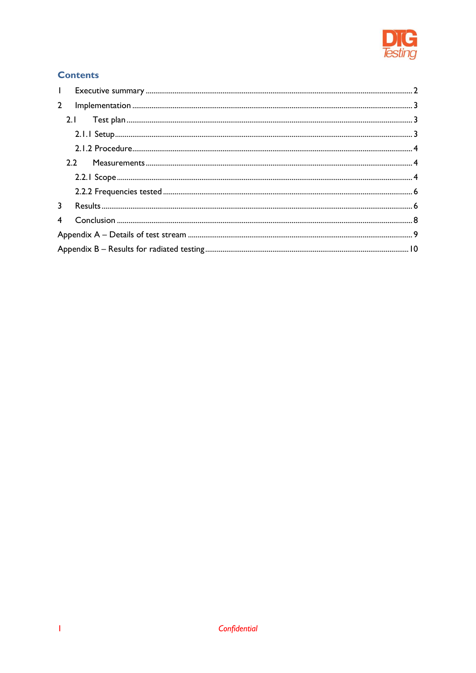

#### **Contents**

| $\mathbf{L}$ |                |  |  |
|--------------|----------------|--|--|
| $2^{\circ}$  |                |  |  |
|              |                |  |  |
|              |                |  |  |
|              |                |  |  |
|              |                |  |  |
|              |                |  |  |
|              |                |  |  |
|              |                |  |  |
|              |                |  |  |
|              |                |  |  |
|              |                |  |  |
|              | $\overline{4}$ |  |  |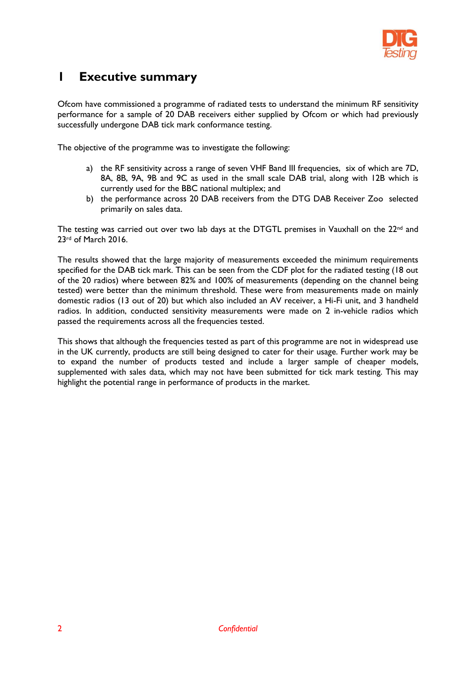

### <span id="page-2-0"></span>**1 Executive summary**

Ofcom have commissioned a programme of radiated tests to understand the minimum RF sensitivity performance for a sample of 20 DAB receivers either supplied by Ofcom or which had previously successfully undergone DAB tick mark conformance testing.

The objective of the programme was to investigate the following:

- a) the RF sensitivity across a range of seven VHF Band III frequencies, six of which are 7D, 8A, 8B, 9A, 9B and 9C as used in the small scale DAB trial, along with 12B which is currently used for the BBC national multiplex; and
- b) the performance across 20 DAB receivers from the DTG DAB Receiver Zoo selected primarily on sales data.

The testing was carried out over two lab days at the DTGTL premises in Vauxhall on the 22<sup>nd</sup> and 23rd of March 2016.

The results showed that the large majority of measurements exceeded the minimum requirements specified for the DAB tick mark. This can be seen from the CDF plot for the radiated testing (18 out of the 20 radios) where between 82% and 100% of measurements (depending on the channel being tested) were better than the minimum threshold. These were from measurements made on mainly domestic radios (13 out of 20) but which also included an AV receiver, a Hi-Fi unit, and 3 handheld radios. In addition, conducted sensitivity measurements were made on 2 in-vehicle radios which passed the requirements across all the frequencies tested.

This shows that although the frequencies tested as part of this programme are not in widespread use in the UK currently, products are still being designed to cater for their usage. Further work may be to expand the number of products tested and include a larger sample of cheaper models, supplemented with sales data, which may not have been submitted for tick mark testing. This may highlight the potential range in performance of products in the market.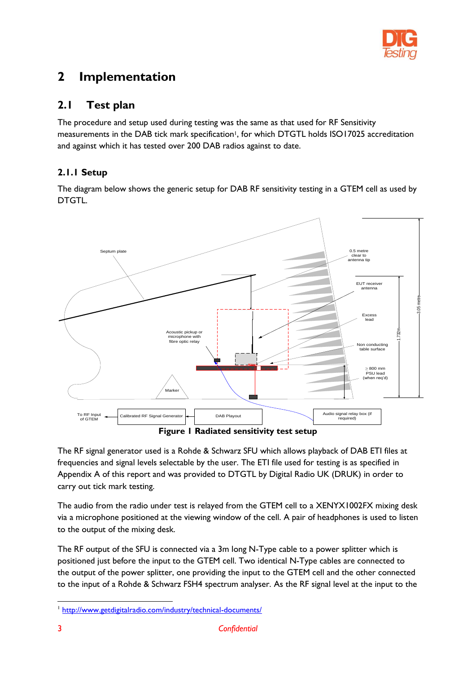

## <span id="page-3-0"></span>**2 Implementation**

#### <span id="page-3-1"></span>**2.1 Test plan**

The procedure and setup used during testing was the same as that used for RF Sensitivity measurements in the DAB tick mark specification<sup>1</sup>, for which DTGTL holds ISO17025 accreditation and against which it has tested over 200 DAB radios against to date.

#### <span id="page-3-2"></span>**2.1.1 Setup**

The diagram below shows the generic setup for DAB RF sensitivity testing in a GTEM cell as used by DTGTL.



The RF signal generator used is a Rohde & Schwarz SFU which allows playback of DAB ETI files at frequencies and signal levels selectable by the user. The ETI file used for testing is as specified in Appendix A of this report and was provided to DTGTL by Digital Radio UK (DRUK) in order to carry out tick mark testing.

The audio from the radio under test is relayed from the GTEM cell to a XENYX1002FX mixing desk via a microphone positioned at the viewing window of the cell. A pair of headphones is used to listen to the output of the mixing desk.

The RF output of the SFU is connected via a 3m long N-Type cable to a power splitter which is positioned just before the input to the GTEM cell. Two identical N-Type cables are connected to the output of the power splitter, one providing the input to the GTEM cell and the other connected to the input of a Rohde & Schwarz FSH4 spectrum analyser. As the RF signal level at the input to the

-

<sup>&</sup>lt;sup>1</sup> <http://www.getdigitalradio.com/industry/technical-documents/>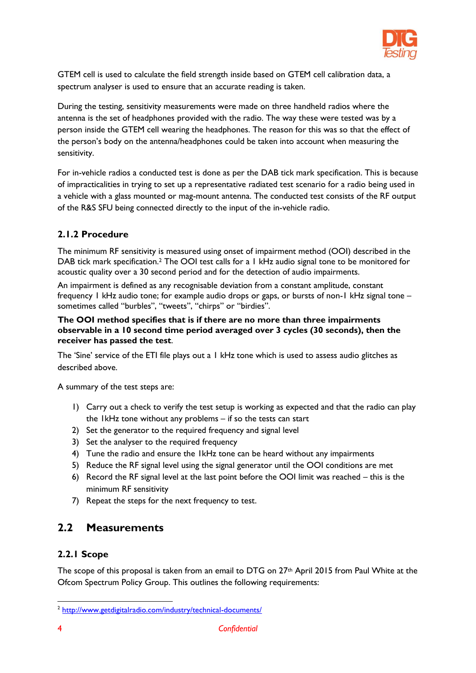

GTEM cell is used to calculate the field strength inside based on GTEM cell calibration data, a spectrum analyser is used to ensure that an accurate reading is taken.

During the testing, sensitivity measurements were made on three handheld radios where the antenna is the set of headphones provided with the radio. The way these were tested was by a person inside the GTEM cell wearing the headphones. The reason for this was so that the effect of the person's body on the antenna/headphones could be taken into account when measuring the sensitivity.

For in-vehicle radios a conducted test is done as per the DAB tick mark specification. This is because of impracticalities in trying to set up a representative radiated test scenario for a radio being used in a vehicle with a glass mounted or mag-mount antenna. The conducted test consists of the RF output of the R&S SFU being connected directly to the input of the in-vehicle radio.

#### <span id="page-4-0"></span>**2.1.2 Procedure**

The minimum RF sensitivity is measured using onset of impairment method (OOI) described in the DAB tick mark specification.<sup>2</sup> The OOI test calls for a 1 kHz audio signal tone to be monitored for acoustic quality over a 30 second period and for the detection of audio impairments.

An impairment is defined as any recognisable deviation from a constant amplitude, constant frequency 1 kHz audio tone; for example audio drops or gaps, or bursts of non-1 kHz signal tone – sometimes called "burbles", "tweets", "chirps" or "birdies".

#### **The OOI method specifies that is if there are no more than three impairments observable in a 10 second time period averaged over 3 cycles (30 seconds), then the receiver has passed the test**.

The 'Sine' service of the ETI file plays out a 1 kHz tone which is used to assess audio glitches as described above.

A summary of the test steps are:

- 1) Carry out a check to verify the test setup is working as expected and that the radio can play the 1kHz tone without any problems – if so the tests can start
- 2) Set the generator to the required frequency and signal level
- 3) Set the analyser to the required frequency
- 4) Tune the radio and ensure the 1kHz tone can be heard without any impairments
- 5) Reduce the RF signal level using the signal generator until the OOI conditions are met
- 6) Record the RF signal level at the last point before the OOI limit was reached this is the minimum RF sensitivity
- 7) Repeat the steps for the next frequency to test.

#### <span id="page-4-1"></span>**2.2 Measurements**

#### <span id="page-4-2"></span>**2.2.1 Scope**

The scope of this proposal is taken from an email to DTG on 27<sup>th</sup> April 2015 from Paul White at the Ofcom Spectrum Policy Group. This outlines the following requirements:

-

<sup>&</sup>lt;sup>2</sup> <http://www.getdigitalradio.com/industry/technical-documents/>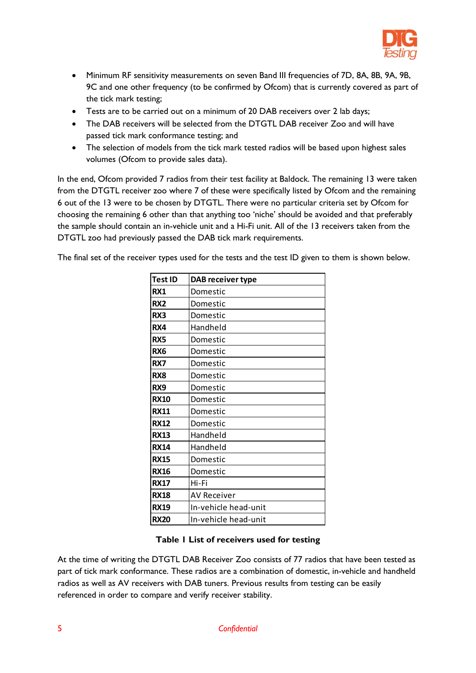

- Minimum RF sensitivity measurements on seven Band III frequencies of 7D, 8A, 8B, 9A, 9B, 9C and one other frequency (to be confirmed by Ofcom) that is currently covered as part of the tick mark testing;
- Tests are to be carried out on a minimum of 20 DAB receivers over 2 lab days;
- The DAB receivers will be selected from the DTGTL DAB receiver Zoo and will have passed tick mark conformance testing; and
- The selection of models from the tick mark tested radios will be based upon highest sales volumes (Ofcom to provide sales data).

In the end, Ofcom provided 7 radios from their test facility at Baldock. The remaining 13 were taken from the DTGTL receiver zoo where 7 of these were specifically listed by Ofcom and the remaining 6 out of the 13 were to be chosen by DTGTL. There were no particular criteria set by Ofcom for choosing the remaining 6 other than that anything too 'niche' should be avoided and that preferably the sample should contain an in-vehicle unit and a Hi-Fi unit. All of the 13 receivers taken from the DTGTL zoo had previously passed the DAB tick mark requirements.

The final set of the receiver types used for the tests and the test ID given to them is shown below.

| <b>Test ID</b>  | DAB receiver type    |
|-----------------|----------------------|
| <b>RX1</b>      | Domestic             |
| RX <sub>2</sub> | Domestic             |
| RX3             | Domestic             |
| RX4             | Handheld             |
| RX5             | Domestic             |
| RX <sub>6</sub> | Domestic             |
| RX7             | Domestic             |
| RX <sub>8</sub> | Domestic             |
| RX9             | Domestic             |
| <b>RX10</b>     | Domestic             |
| <b>RX11</b>     | Domestic             |
| <b>RX12</b>     | Domestic             |
| <b>RX13</b>     | Handheld             |
| <b>RX14</b>     | Handheld             |
| <b>RX15</b>     | Domestic             |
| <b>RX16</b>     | Domestic             |
| <b>RX17</b>     | Hi-Fi                |
| <b>RX18</b>     | <b>AV Receiver</b>   |
| <b>RX19</b>     | In-vehicle head-unit |
| <b>RX20</b>     | In-vehicle head-unit |

#### **Table 1 List of receivers used for testing**

At the time of writing the DTGTL DAB Receiver Zoo consists of 77 radios that have been tested as part of tick mark conformance. These radios are a combination of domestic, in-vehicle and handheld radios as well as AV receivers with DAB tuners. Previous results from testing can be easily referenced in order to compare and verify receiver stability.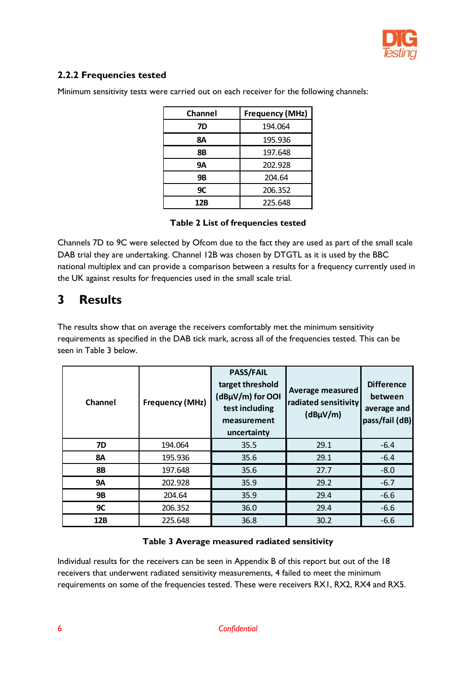

#### <span id="page-6-0"></span>**2.2.2 Frequencies tested**

| Channel | Frequency (MHz) |
|---------|-----------------|
| 7D      | 194.064         |
| 8Α      | 195.936         |
| 8Β      | 197.648         |
| 9Α      | 202.928         |
| 9Β      | 204.64          |
| 9C      | 206.352         |
| 12B     | 225.648         |

Minimum sensitivity tests were carried out on each receiver for the following channels:

#### **Table 2 List of frequencies tested**

Channels 7D to 9C were selected by Ofcom due to the fact they are used as part of the small scale DAB trial they are undertaking. Channel 12B was chosen by DTGTL as it is used by the BBC national multiplex and can provide a comparison between a results for a frequency currently used in the UK against results for frequencies used in the small scale trial.

### <span id="page-6-1"></span>**3 Results**

The results show that on average the receivers comfortably met the minimum sensitivity requirements as specified in the DAB tick mark, across all of the frequencies tested. This can be seen in Table 3 below.

| <b>Channel</b> | <b>Frequency (MHz)</b> | <b>PASS/FAIL</b><br>target threshold<br>(dBµV/m) for OOI<br>test including<br>measurement<br>uncertainty | Average measured<br>radiated sensitivity<br>$(dB\mu V/m)$ | <b>Difference</b><br>between<br>average and<br>pass/fail (dB) |
|----------------|------------------------|----------------------------------------------------------------------------------------------------------|-----------------------------------------------------------|---------------------------------------------------------------|
| <b>7D</b>      | 194.064                | 35.5                                                                                                     | 29.1                                                      | $-6.4$                                                        |
| <b>8A</b>      | 195.936                | 35.6                                                                                                     | 29.1                                                      | $-6.4$                                                        |
| <b>8B</b>      | 197.648                | 35.6                                                                                                     | 27.7                                                      | $-8.0$                                                        |
| <b>9A</b>      | 202.928                | 35.9                                                                                                     | 29.2                                                      | $-6.7$                                                        |
| <b>9B</b>      | 204.64                 | 35.9                                                                                                     | 29.4                                                      | $-6.6$                                                        |
| 9C             | 206.352                | 36.0                                                                                                     | 29.4                                                      | $-6.6$                                                        |
| 12B            | 225.648                | 36.8                                                                                                     | 30.2                                                      | $-6.6$                                                        |

#### **Table 3 Average measured radiated sensitivity**

Individual results for the receivers can be seen in Appendix B of this report but out of the 18 receivers that underwent radiated sensitivity measurements, 4 failed to meet the minimum requirements on some of the frequencies tested. These were receivers RX1, RX2, RX4 and RX5.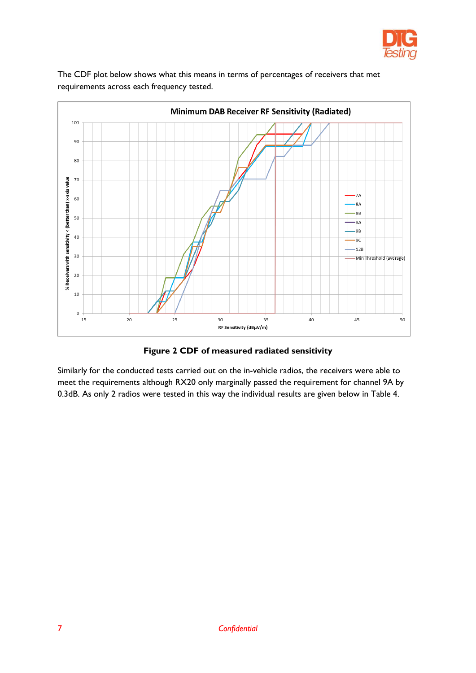



The CDF plot below shows what this means in terms of percentages of receivers that met requirements across each frequency tested.

**Figure 2 CDF of measured radiated sensitivity**

Similarly for the conducted tests carried out on the in-vehicle radios, the receivers were able to meet the requirements although RX20 only marginally passed the requirement for channel 9A by 0.3dB. As only 2 radios were tested in this way the individual results are given below in Table 4.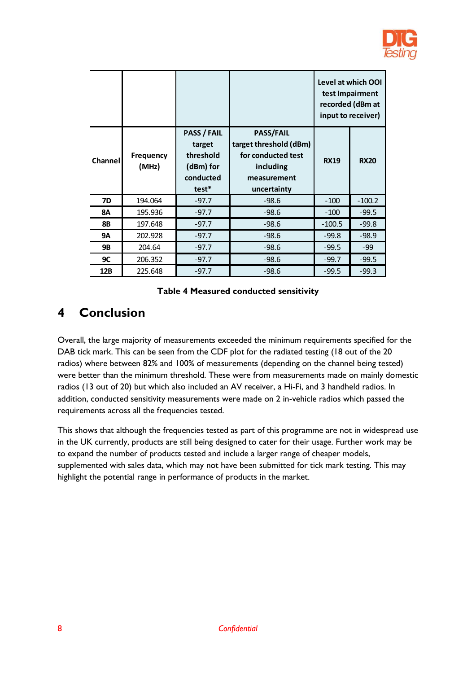

|           |                           |                                                                              |                                                                                                             | input to receiver) | Level at which OOI<br>test Impairment<br>recorded (dBm at |
|-----------|---------------------------|------------------------------------------------------------------------------|-------------------------------------------------------------------------------------------------------------|--------------------|-----------------------------------------------------------|
| Channel   | <b>Frequency</b><br>(MHz) | <b>PASS / FAIL</b><br>target<br>threshold<br>(dBm) for<br>conducted<br>test* | <b>PASS/FAIL</b><br>target threshold (dBm)<br>for conducted test<br>including<br>measurement<br>uncertainty | <b>RX19</b>        | <b>RX20</b>                                               |
| <b>7D</b> | 194.064                   | $-97.7$                                                                      | $-98.6$                                                                                                     | $-100$             | $-100.2$                                                  |
| <b>8A</b> | 195.936                   | $-97.7$                                                                      | $-98.6$                                                                                                     | $-100$             | $-99.5$                                                   |
| <b>8B</b> | 197.648                   | $-97.7$                                                                      | $-98.6$                                                                                                     | $-100.5$           | $-99.8$                                                   |
| <b>9A</b> | 202.928                   | $-97.7$                                                                      | $-98.6$                                                                                                     | $-99.8$            | $-98.9$                                                   |
| <b>9B</b> | 204.64                    | $-97.7$                                                                      | $-98.6$                                                                                                     | $-99.5$            | -99                                                       |
| <b>9C</b> | 206.352                   | $-97.7$                                                                      | $-98.6$                                                                                                     | $-99.7$            | $-99.5$                                                   |
| 12B       | 225.648                   | $-97.7$                                                                      | $-98.6$                                                                                                     | $-99.5$            | $-99.3$                                                   |

#### **Table 4 Measured conducted sensitivity**

## <span id="page-8-0"></span>**4 Conclusion**

Overall, the large majority of measurements exceeded the minimum requirements specified for the DAB tick mark. This can be seen from the CDF plot for the radiated testing (18 out of the 20 radios) where between 82% and 100% of measurements (depending on the channel being tested) were better than the minimum threshold. These were from measurements made on mainly domestic radios (13 out of 20) but which also included an AV receiver, a Hi-Fi, and 3 handheld radios. In addition, conducted sensitivity measurements were made on 2 in-vehicle radios which passed the requirements across all the frequencies tested.

This shows that although the frequencies tested as part of this programme are not in widespread use in the UK currently, products are still being designed to cater for their usage. Further work may be to expand the number of products tested and include a larger range of cheaper models, supplemented with sales data, which may not have been submitted for tick mark testing. This may highlight the potential range in performance of products in the market.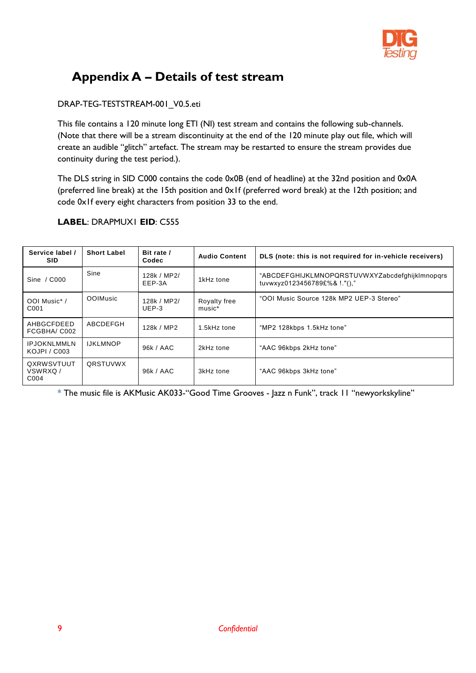

## <span id="page-9-0"></span>**Appendix A – Details of test stream**

#### DRAP-TEG-TESTSTREAM-001\_V0.5.eti

This file contains a 120 minute long ETI (NI) test stream and contains the following sub-channels. (Note that there will be a stream discontinuity at the end of the 120 minute play out file, which will create an audible "glitch" artefact. The stream may be restarted to ensure the stream provides due continuity during the test period.).

The DLS string in SID C000 contains the code 0x0B (end of headline) at the 32nd position and 0x0A (preferred line break) at the 15th position and 0x1f (preferred word break) at the 12th position; and code 0x1f every eight characters from position 33 to the end.

| Service label /<br><b>SID</b>      | <b>Short Label</b> | Bit rate /<br>Codec    | <b>Audio Content</b>   | DLS (note: this is not required for in-vehicle receivers)                      |
|------------------------------------|--------------------|------------------------|------------------------|--------------------------------------------------------------------------------|
| C000<br>Sine $/$                   | Sine               | 128k / MP2/<br>EEP-3A  | 1kHz tone              | "ABCDEFGHIJKLMNOPQRSTUVWXYZabcdefqhijklmnopqrs<br>tuvwxyz0123456789£%& !."()," |
| OOI Music*/<br>C <sub>001</sub>    | <b>OOIMusic</b>    | 128k / MP2/<br>$UEP-3$ | Royalty free<br>music* | "OOI Music Source 128k MP2 UEP-3 Stereo"                                       |
| AHBGCFDEED<br>FCGBHA/C002          | ABCDEFGH           | 128k / MP2             | 1.5kHz tone            | "MP2 128kbps 1.5kHz tone"                                                      |
| <b>IPJOKNLMMLN</b><br>KOJPI / C003 | <b>IJKLMNOP</b>    | 96k / AAC              | 2kHz tone              | "AAC 96kbps 2kHz tone"                                                         |
| QXRWSVTUUT<br>VSWRXQ/<br>C004      | QRSTUVWX           | 96k / AAC              | 3kHz tone              | "AAC 96kbps 3kHz tone"                                                         |

#### **LABEL**: DRAPMUX1 **EID**: C555

\* The music file is AKMusic AK033-"Good Time Grooves - Jazz n Funk", track 11 "newyorkskyline"